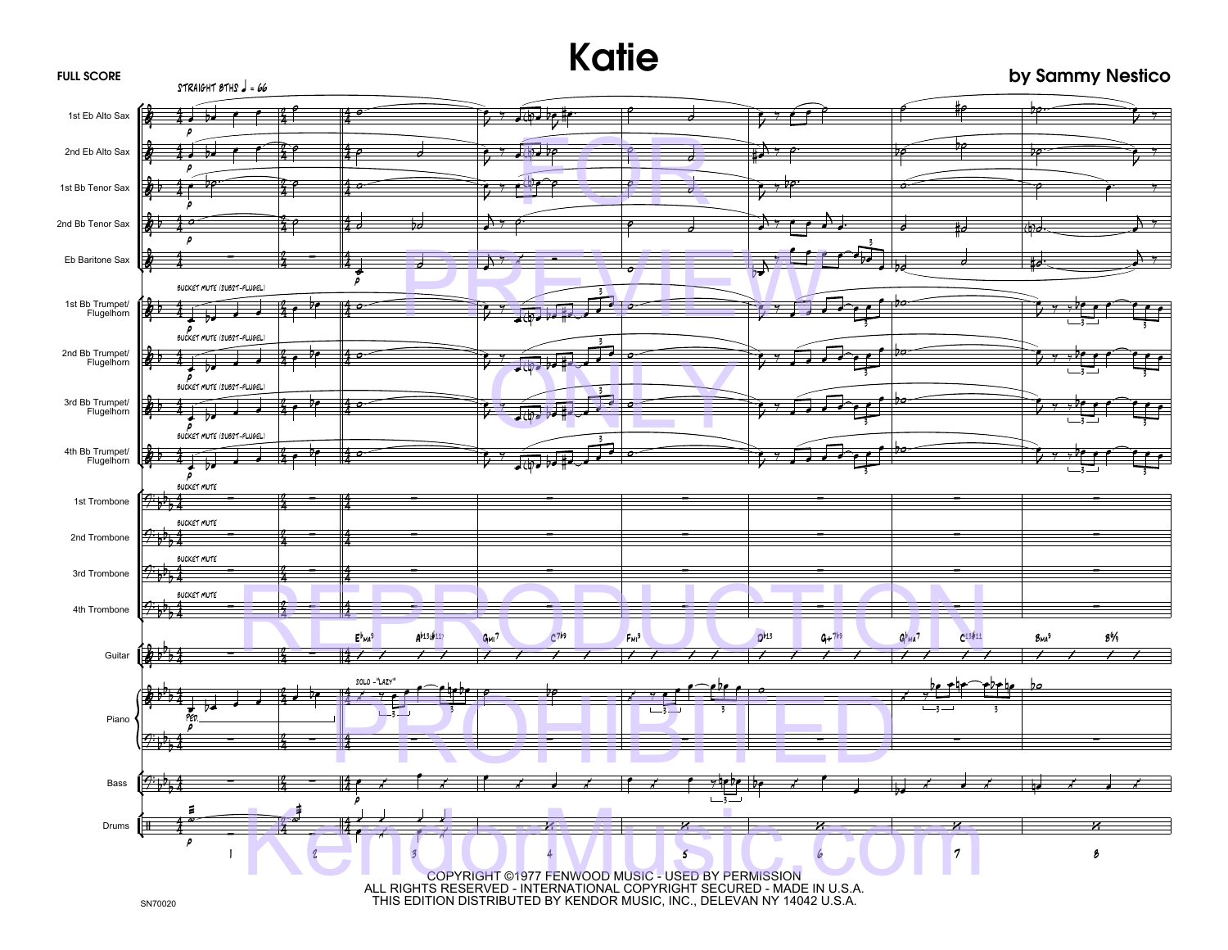## **Katie**

## **by Sammy Nestico**

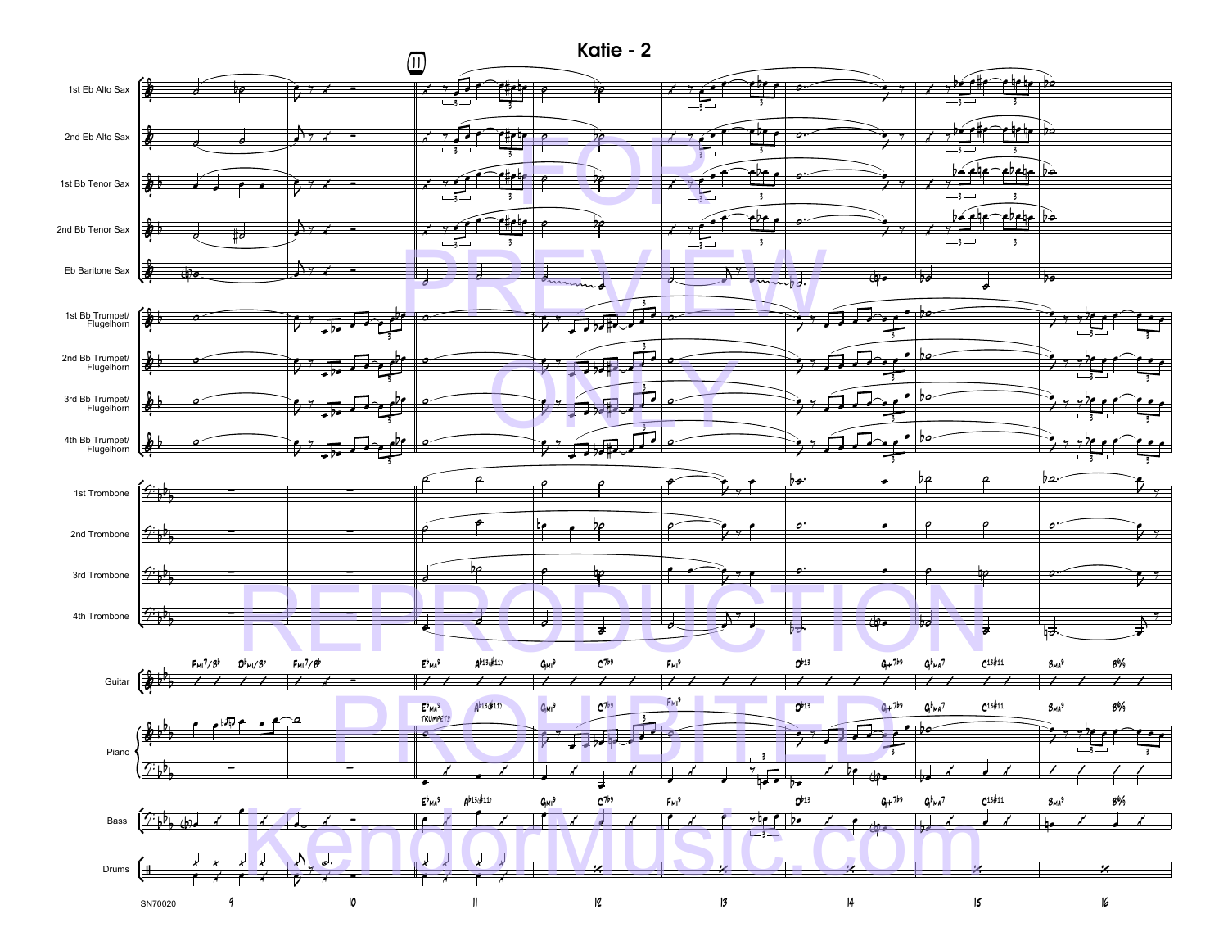**Katie - 2**

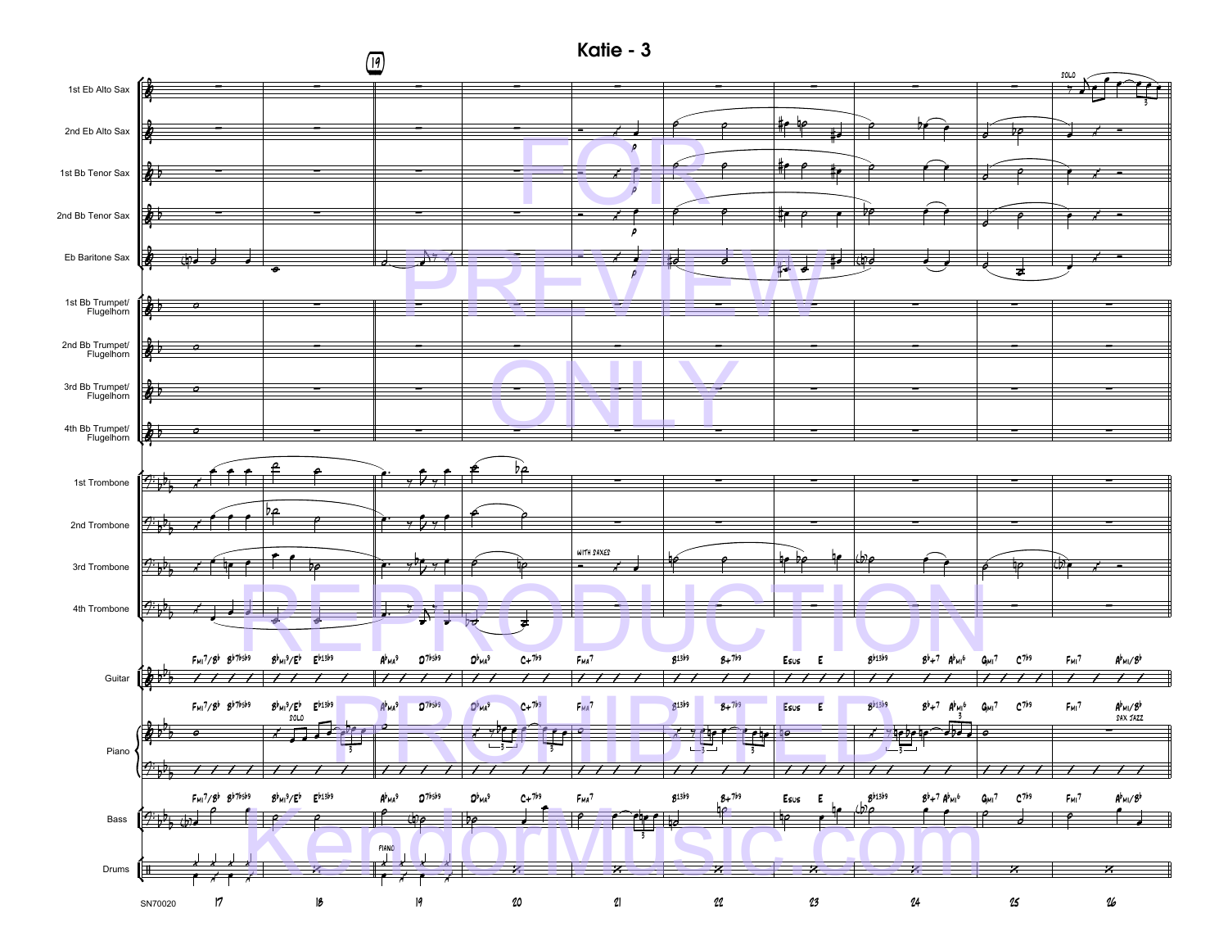

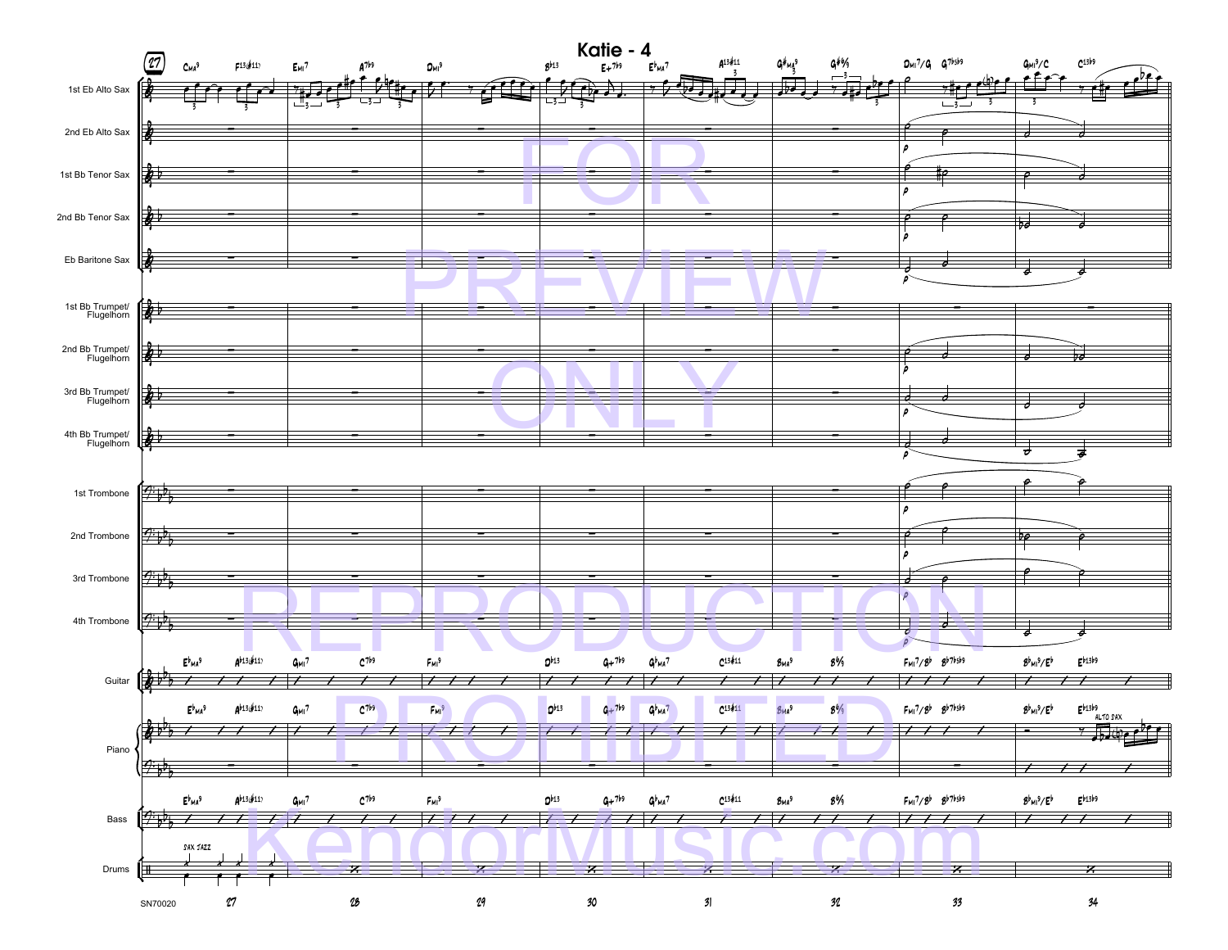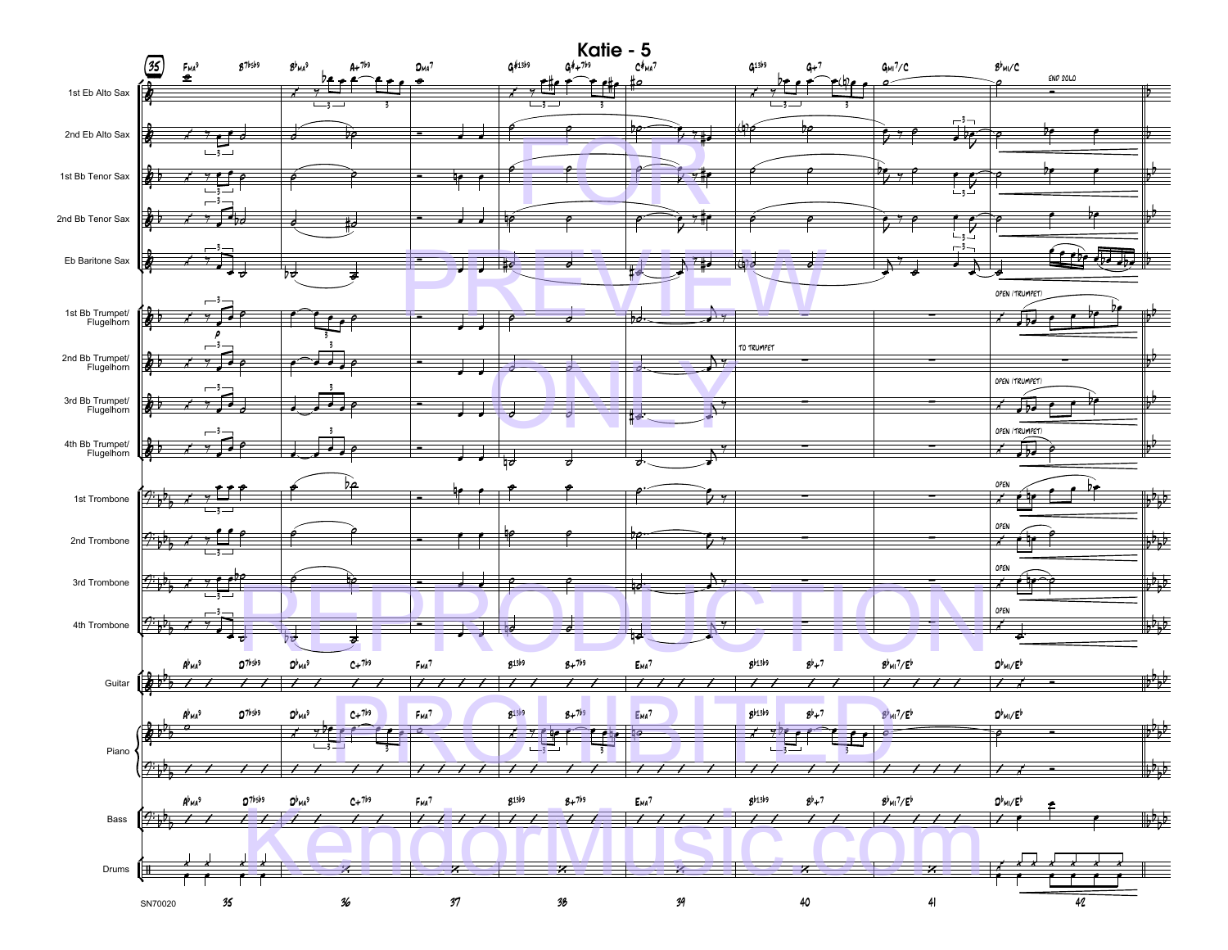